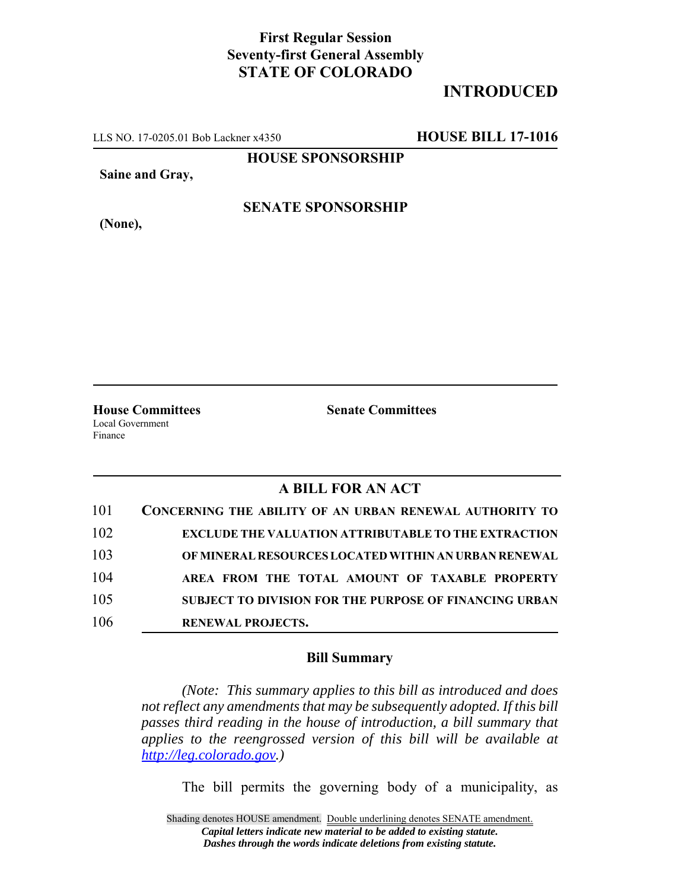## **First Regular Session Seventy-first General Assembly STATE OF COLORADO**

# **INTRODUCED**

LLS NO. 17-0205.01 Bob Lackner x4350 **HOUSE BILL 17-1016**

**HOUSE SPONSORSHIP**

**Saine and Gray,**

**(None),**

#### **SENATE SPONSORSHIP**

Local Government Finance

**House Committees Senate Committees** 

### **A BILL FOR AN ACT**

| 101 | <b>CONCERNING THE ABILITY OF AN URBAN RENEWAL AUTHORITY TO</b> |
|-----|----------------------------------------------------------------|
| 102 | <b>EXCLUDE THE VALUATION ATTRIBUTABLE TO THE EXTRACTION</b>    |
| 103 | OF MINERAL RESOURCES LOCATED WITHIN AN URBAN RENEWAL           |
| 104 | AREA FROM THE TOTAL AMOUNT OF TAXABLE PROPERTY                 |
| 105 | <b>SUBJECT TO DIVISION FOR THE PURPOSE OF FINANCING URBAN</b>  |
| 106 | <b>RENEWAL PROJECTS.</b>                                       |

#### **Bill Summary**

*(Note: This summary applies to this bill as introduced and does not reflect any amendments that may be subsequently adopted. If this bill passes third reading in the house of introduction, a bill summary that applies to the reengrossed version of this bill will be available at http://leg.colorado.gov.)*

The bill permits the governing body of a municipality, as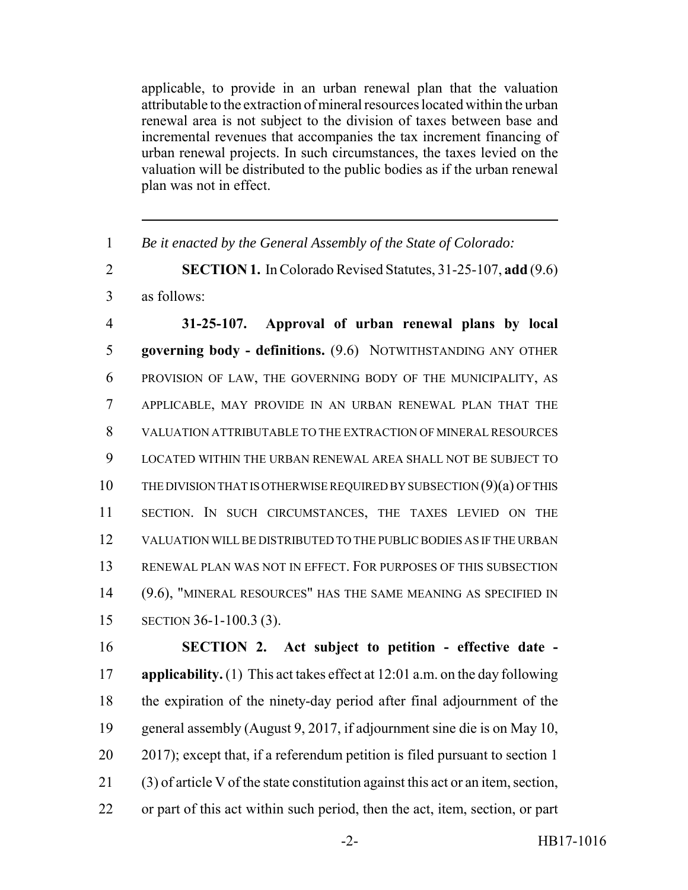applicable, to provide in an urban renewal plan that the valuation attributable to the extraction of mineral resources located within the urban renewal area is not subject to the division of taxes between base and incremental revenues that accompanies the tax increment financing of urban renewal projects. In such circumstances, the taxes levied on the valuation will be distributed to the public bodies as if the urban renewal plan was not in effect.

*Be it enacted by the General Assembly of the State of Colorado:*

 **SECTION 1.** In Colorado Revised Statutes, 31-25-107, **add** (9.6) as follows:

 **31-25-107. Approval of urban renewal plans by local governing body - definitions.** (9.6) NOTWITHSTANDING ANY OTHER PROVISION OF LAW, THE GOVERNING BODY OF THE MUNICIPALITY, AS APPLICABLE, MAY PROVIDE IN AN URBAN RENEWAL PLAN THAT THE VALUATION ATTRIBUTABLE TO THE EXTRACTION OF MINERAL RESOURCES LOCATED WITHIN THE URBAN RENEWAL AREA SHALL NOT BE SUBJECT TO THE DIVISION THAT IS OTHERWISE REQUIRED BY SUBSECTION (9)(a) OF THIS SECTION. IN SUCH CIRCUMSTANCES, THE TAXES LEVIED ON THE VALUATION WILL BE DISTRIBUTED TO THE PUBLIC BODIES AS IF THE URBAN RENEWAL PLAN WAS NOT IN EFFECT. FOR PURPOSES OF THIS SUBSECTION (9.6), "MINERAL RESOURCES" HAS THE SAME MEANING AS SPECIFIED IN SECTION 36-1-100.3 (3).

 **SECTION 2. Act subject to petition - effective date - applicability.** (1) This act takes effect at 12:01 a.m. on the day following the expiration of the ninety-day period after final adjournment of the general assembly (August 9, 2017, if adjournment sine die is on May 10, 2017); except that, if a referendum petition is filed pursuant to section 1 (3) of article V of the state constitution against this act or an item, section, or part of this act within such period, then the act, item, section, or part